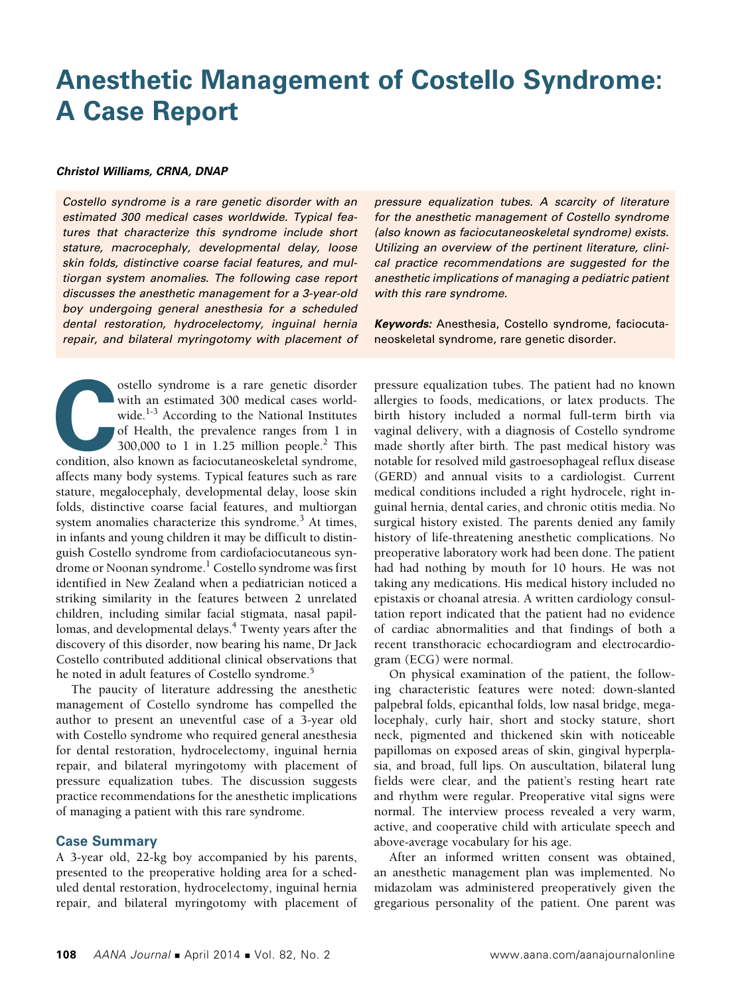# **Anesthetic Management of Costello Syndrome: A Case Report**

### *Christol Williams, CRNA, DNAP*

*Costello syndrome is a rare genetic disorder with an estimated 300 medical cases worldwide. Typical features that characterize this syndrome include short stature, macrocephaly, developmental delay, loose skin folds, distinctive coarse facial features, and multiorgan system anomalies. The following case report discusses the anesthetic management for a 3-year-old boy undergoing general anesthesia for a scheduled dental restoration, hydrocelectomy, inguinal hernia repair, and bilateral myringotomy with placement of* 

ostello syndrome is a rare genetic disorder<br>with an estimated 300 medical cases world-<br>wide.<sup>1-3</sup> According to the National Institutes<br>of Health, the prevalence ranges from 1 in<br>300,000 to 1 in 1.25 million people.<sup>2</sup> This with an estimated 300 medical cases worldwide.<sup>1-3</sup> According to the National Institutes of Health, the prevalence ranges from 1 in 300,000 to 1 in 1.25 million people.<sup>2</sup> This condition, also known as faciocutaneoskeletal syndrome, affects many body systems. Typical features such as rare stature, megalocephaly, developmental delay, loose skin folds, distinctive coarse facial features, and multiorgan system anomalies characterize this syndrome.<sup>3</sup> At times, in infants and young children it may be difficult to distinguish Costello syndrome from cardiofaciocutaneous syndrome or Noonan syndrome.<sup>1</sup> Costello syndrome was first identified in New Zealand when a pediatrician noticed a striking similarity in the features between 2 unrelated children, including similar facial stigmata, nasal papillomas, and developmental delays.<sup>4</sup> Twenty years after the discovery of this disorder, now bearing his name, Dr Jack Costello contributed additional clinical observations that he noted in adult features of Costello syndrome.<sup>5</sup>

The paucity of literature addressing the anesthetic management of Costello syndrome has compelled the author to present an uneventful case of a 3-year old with Costello syndrome who required general anesthesia for dental restoration, hydrocelectomy, inguinal hernia repair, and bilateral myringotomy with placement of pressure equalization tubes. The discussion suggests practice recommendations for the anesthetic implications of managing a patient with this rare syndrome.

## **Case Summary**

A 3-year old, 22-kg boy accompanied by his parents, presented to the preoperative holding area for a scheduled dental restoration, hydrocelectomy, inguinal hernia repair, and bilateral myringotomy with placement of *pressure equalization tubes. A scarcity of literature for the anesthetic management of Costello syndrome (also known as faciocutaneoskeletal syndrome) exists. Utilizing an overview of the pertinent literature, clinical practice recommendations are suggested for the anesthetic implications of managing a pediatric patient with this rare syndrome.*

*Keywords:* Anesthesia, Costello syndrome, faciocutaneoskeletal syndrome, rare genetic disorder.

pressure equalization tubes. The patient had no known allergies to foods, medications, or latex products. The birth history included a normal full-term birth via vaginal delivery, with a diagnosis of Costello syndrome made shortly after birth. The past medical history was notable for resolved mild gastroesophageal reflux disease (GERD) and annual visits to a cardiologist. Current medical conditions included a right hydrocele, right inguinal hernia, dental caries, and chronic otitis media. No surgical history existed. The parents denied any family history of life-threatening anesthetic complications. No preoperative laboratory work had been done. The patient had had nothing by mouth for 10 hours. He was not taking any medications. His medical history included no epistaxis or choanal atresia. A written cardiology consultation report indicated that the patient had no evidence of cardiac abnormalities and that findings of both a recent transthoracic echocardiogram and electrocardiogram (ECG) were normal.

On physical examination of the patient, the following characteristic features were noted: down-slanted palpebral folds, epicanthal folds, low nasal bridge, megalocephaly, curly hair, short and stocky stature, short neck, pigmented and thickened skin with noticeable papillomas on exposed areas of skin, gingival hyperplasia, and broad, full lips. On auscultation, bilateral lung fields were clear, and the patient's resting heart rate and rhythm were regular. Preoperative vital signs were normal. The interview process revealed a very warm, active, and cooperative child with articulate speech and above-average vocabulary for his age.

After an informed written consent was obtained, an anesthetic management plan was implemented. No midazolam was administered preoperatively given the gregarious personality of the patient. One parent was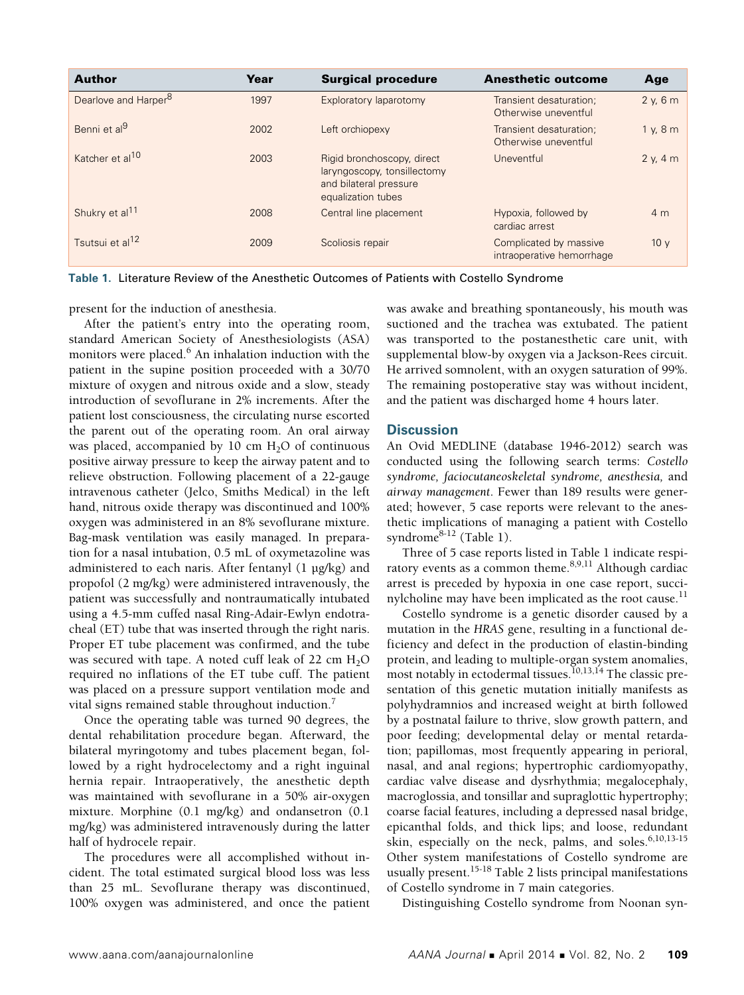| <b>Author</b>                    | Year | <b>Surgical procedure</b>                                                                                 | <b>Anesthetic outcome</b>                           | Age             |
|----------------------------------|------|-----------------------------------------------------------------------------------------------------------|-----------------------------------------------------|-----------------|
| Dearlove and Harper <sup>8</sup> | 1997 | Exploratory laparotomy                                                                                    | Transient desaturation;<br>Otherwise uneventful     | 2 y, 6 m        |
| Benni et al <sup>9</sup>         | 2002 | Left orchiopexy                                                                                           | Transient desaturation;<br>Otherwise uneventful     | 1 y, 8 m        |
| Katcher et al <sup>10</sup>      | 2003 | Rigid bronchoscopy, direct<br>laryngoscopy, tonsillectomy<br>and bilateral pressure<br>equalization tubes | Uneventful                                          | 2 v. 4 m        |
| Shukry et al <sup>11</sup>       | 2008 | Central line placement                                                                                    | Hypoxia, followed by<br>cardiac arrest              | 4 <sub>m</sub>  |
| Tsutsui et al <sup>12</sup>      | 2009 | Scoliosis repair                                                                                          | Complicated by massive<br>intraoperative hemorrhage | 10 <sub>V</sub> |

**Table 1.** Literature Review of the Anesthetic Outcomes of Patients with Costello Syndrome

present for the induction of anesthesia.

After the patient's entry into the operating room, standard American Society of Anesthesiologists (ASA) monitors were placed.<sup>6</sup> An inhalation induction with the patient in the supine position proceeded with a 30/70 mixture of oxygen and nitrous oxide and a slow, steady introduction of sevoflurane in 2% increments. After the patient lost consciousness, the circulating nurse escorted the parent out of the operating room. An oral airway was placed, accompanied by 10 cm  $H_2O$  of continuous positive airway pressure to keep the airway patent and to relieve obstruction. Following placement of a 22-gauge intravenous catheter (Jelco, Smiths Medical) in the left hand, nitrous oxide therapy was discontinued and 100% oxygen was administered in an 8% sevoflurane mixture. Bag-mask ventilation was easily managed. In preparation for a nasal intubation, 0.5 mL of oxymetazoline was administered to each naris. After fentanyl (1 μg/kg) and propofol (2 mg/kg) were administered intravenously, the patient was successfully and nontraumatically intubated using a 4.5-mm cuffed nasal Ring-Adair-Ewlyn endotracheal (ET) tube that was inserted through the right naris. Proper ET tube placement was confirmed, and the tube was secured with tape. A noted cuff leak of 22 cm  $H_2O$ required no inflations of the ET tube cuff. The patient was placed on a pressure support ventilation mode and vital signs remained stable throughout induction.<sup>7</sup>

Once the operating table was turned 90 degrees, the dental rehabilitation procedure began. Afterward, the bilateral myringotomy and tubes placement began, followed by a right hydrocelectomy and a right inguinal hernia repair. Intraoperatively, the anesthetic depth was maintained with sevoflurane in a 50% air-oxygen mixture. Morphine (0.1 mg/kg) and ondansetron (0.1 mg/kg) was administered intravenously during the latter half of hydrocele repair.

The procedures were all accomplished without incident. The total estimated surgical blood loss was less than 25 mL. Sevoflurane therapy was discontinued, 100% oxygen was administered, and once the patient was awake and breathing spontaneously, his mouth was suctioned and the trachea was extubated. The patient was transported to the postanesthetic care unit, with supplemental blow-by oxygen via a Jackson-Rees circuit. He arrived somnolent, with an oxygen saturation of 99%. The remaining postoperative stay was without incident, and the patient was discharged home 4 hours later.

## **Discussion**

An Ovid MEDLINE (database 1946-2012) search was conducted using the following search terms: *Costello syndrome, faciocutaneoskeletal syndrome, anesthesia,* and *airway management*. Fewer than 189 results were generated; however, 5 case reports were relevant to the anesthetic implications of managing a patient with Costello syndrom $e^{8-12}$  (Table 1).

Three of 5 case reports listed in Table 1 indicate respiratory events as a common theme. $8,9,11$  Although cardiac arrest is preceded by hypoxia in one case report, succinylcholine may have been implicated as the root cause. $<sup>11</sup>$ </sup>

Costello syndrome is a genetic disorder caused by a mutation in the *HRAS* gene, resulting in a functional deficiency and defect in the production of elastin-binding protein, and leading to multiple-organ system anomalies, most notably in ectodermal tissues.<sup>10,13,14</sup> The classic presentation of this genetic mutation initially manifests as polyhydramnios and increased weight at birth followed by a postnatal failure to thrive, slow growth pattern, and poor feeding; developmental delay or mental retardation; papillomas, most frequently appearing in perioral, nasal, and anal regions; hypertrophic cardiomyopathy, cardiac valve disease and dysrhythmia; megalocephaly, macroglossia, and tonsillar and supraglottic hypertrophy; coarse facial features, including a depressed nasal bridge, epicanthal folds, and thick lips; and loose, redundant skin, especially on the neck, palms, and soles.<sup>6,10,13-15</sup> Other system manifestations of Costello syndrome are usually present.<sup>15-18</sup> Table 2 lists principal manifestations of Costello syndrome in 7 main categories.

Distinguishing Costello syndrome from Noonan syn-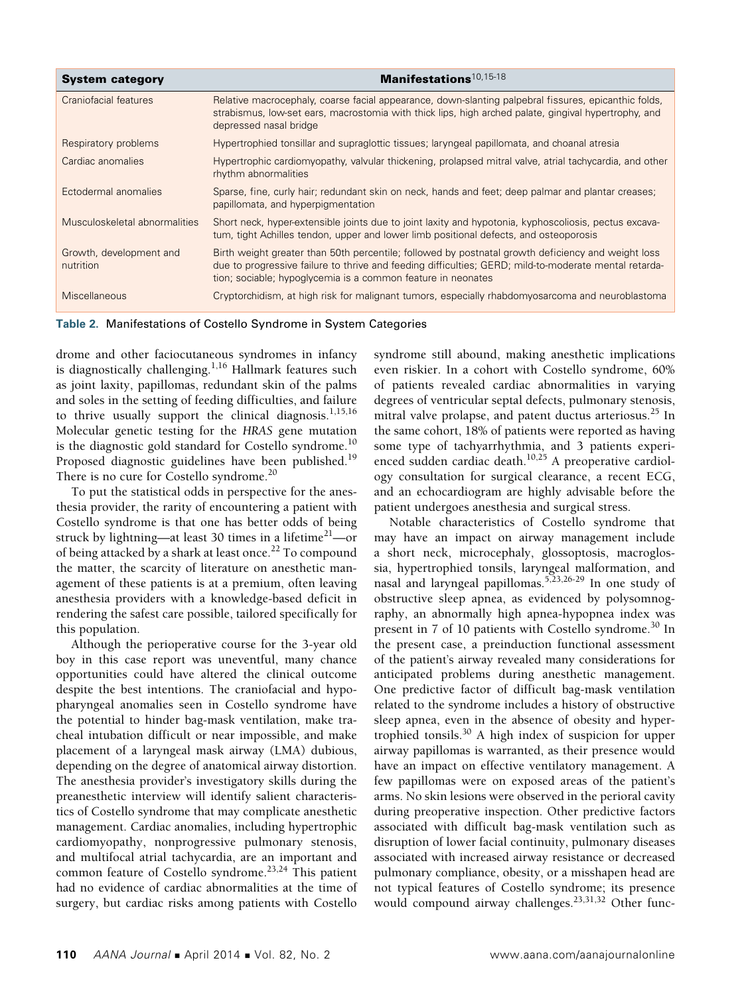| <b>System category</b>               | Manifestations <sup>10,15-18</sup>                                                                                                                                                                                                                                          |
|--------------------------------------|-----------------------------------------------------------------------------------------------------------------------------------------------------------------------------------------------------------------------------------------------------------------------------|
| Craniofacial features                | Relative macrocephaly, coarse facial appearance, down-slanting palpebral fissures, epicanthic folds,<br>strabismus, low-set ears, macrostomia with thick lips, high arched palate, gingival hypertrophy, and<br>depressed nasal bridge                                      |
| Respiratory problems                 | Hypertrophied tonsillar and supraglottic tissues; laryngeal papillomata, and choanal atresia                                                                                                                                                                                |
| Cardiac anomalies                    | Hypertrophic cardiomyopathy, valvular thickening, prolapsed mitral valve, atrial tachycardia, and other<br>rhythm abnormalities                                                                                                                                             |
| Ectodermal anomalies                 | Sparse, fine, curly hair; redundant skin on neck, hands and feet; deep palmar and plantar creases;<br>papillomata, and hyperpigmentation                                                                                                                                    |
| Musculoskeletal abnormalities        | Short neck, hyper-extensible joints due to joint laxity and hypotonia, kyphoscoliosis, pectus excava-<br>tum, tight Achilles tendon, upper and lower limb positional defects, and osteoporosis                                                                              |
| Growth, development and<br>nutrition | Birth weight greater than 50th percentile; followed by postnatal growth deficiency and weight loss<br>due to progressive failure to thrive and feeding difficulties; GERD; mild-to-moderate mental retarda-<br>tion; sociable; hypoglycemia is a common feature in neonates |
| <b>Miscellaneous</b>                 | Cryptorchidism, at high risk for malignant tumors, especially rhabdomyosarcoma and neuroblastoma                                                                                                                                                                            |

**Table 2.** Manifestations of Costello Syndrome in System Categories

drome and other faciocutaneous syndromes in infancy is diagnostically challenging. $1,16$  Hallmark features such as joint laxity, papillomas, redundant skin of the palms and soles in the setting of feeding difficulties, and failure to thrive usually support the clinical diagnosis.<sup>1,15,16</sup> Molecular genetic testing for the *HRAS* gene mutation is the diagnostic gold standard for Costello syndrome.<sup>10</sup> Proposed diagnostic guidelines have been published.<sup>19</sup> There is no cure for Costello syndrome.<sup>20</sup>

To put the statistical odds in perspective for the anesthesia provider, the rarity of encountering a patient with Costello syndrome is that one has better odds of being struck by lightning—at least 30 times in a lifetime<sup>21</sup>—or of being attacked by a shark at least once.<sup>22</sup> To compound the matter, the scarcity of literature on anesthetic management of these patients is at a premium, often leaving anesthesia providers with a knowledge-based deficit in rendering the safest care possible, tailored specifically for this population.

Although the perioperative course for the 3-year old boy in this case report was uneventful, many chance opportunities could have altered the clinical outcome despite the best intentions. The craniofacial and hypopharyngeal anomalies seen in Costello syndrome have the potential to hinder bag-mask ventilation, make tracheal intubation difficult or near impossible, and make placement of a laryngeal mask airway (LMA) dubious, depending on the degree of anatomical airway distortion. The anesthesia provider's investigatory skills during the preanesthetic interview will identify salient characteristics of Costello syndrome that may complicate anesthetic management. Cardiac anomalies, including hypertrophic cardiomyopathy, nonprogressive pulmonary stenosis, and multifocal atrial tachycardia, are an important and common feature of Costello syndrome.<sup>23,24</sup> This patient had no evidence of cardiac abnormalities at the time of surgery, but cardiac risks among patients with Costello

syndrome still abound, making anesthetic implications even riskier. In a cohort with Costello syndrome, 60% of patients revealed cardiac abnormalities in varying degrees of ventricular septal defects, pulmonary stenosis, mitral valve prolapse, and patent ductus arteriosus. $^{25}$  In the same cohort, 18% of patients were reported as having some type of tachyarrhythmia, and 3 patients experienced sudden cardiac death.<sup>10,25</sup> A preoperative cardiology consultation for surgical clearance, a recent ECG, and an echocardiogram are highly advisable before the patient undergoes anesthesia and surgical stress.

Notable characteristics of Costello syndrome that may have an impact on airway management include a short neck, microcephaly, glossoptosis, macroglossia, hypertrophied tonsils, laryngeal malformation, and nasal and laryngeal papillomas.5,23,26-29 In one study of obstructive sleep apnea, as evidenced by polysomnography, an abnormally high apnea-hypopnea index was present in 7 of 10 patients with Costello syndrome.<sup>30</sup> In the present case, a preinduction functional assessment of the patient's airway revealed many considerations for anticipated problems during anesthetic management. One predictive factor of difficult bag-mask ventilation related to the syndrome includes a history of obstructive sleep apnea, even in the absence of obesity and hypertrophied tonsils.30 A high index of suspicion for upper airway papillomas is warranted, as their presence would have an impact on effective ventilatory management. A few papillomas were on exposed areas of the patient's arms. No skin lesions were observed in the perioral cavity during preoperative inspection. Other predictive factors associated with difficult bag-mask ventilation such as disruption of lower facial continuity, pulmonary diseases associated with increased airway resistance or decreased pulmonary compliance, obesity, or a misshapen head are not typical features of Costello syndrome; its presence would compound airway challenges.<sup>23,31,32</sup> Other func-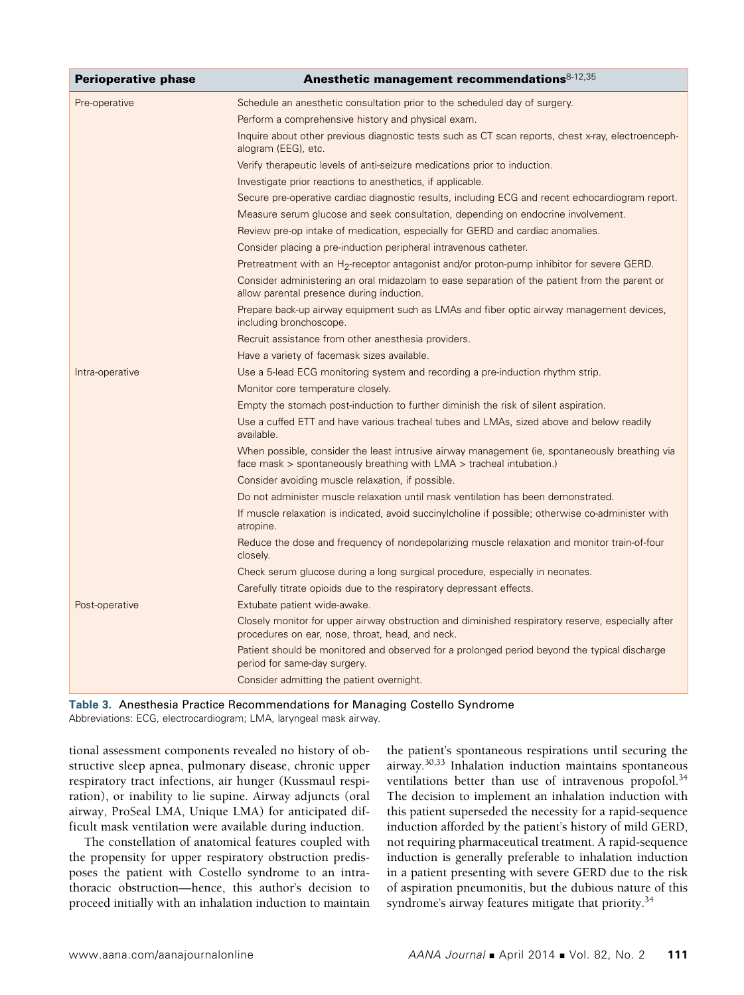| <b>Perioperative phase</b> | Anesthetic management recommendations $8-12,35$                                                                                                                            |
|----------------------------|----------------------------------------------------------------------------------------------------------------------------------------------------------------------------|
| Pre-operative              | Schedule an anesthetic consultation prior to the scheduled day of surgery.                                                                                                 |
|                            | Perform a comprehensive history and physical exam.                                                                                                                         |
|                            | Inquire about other previous diagnostic tests such as CT scan reports, chest x-ray, electroenceph-<br>alogram (EEG), etc.                                                  |
|                            | Verify therapeutic levels of anti-seizure medications prior to induction.                                                                                                  |
|                            | Investigate prior reactions to anesthetics, if applicable.                                                                                                                 |
|                            | Secure pre-operative cardiac diagnostic results, including ECG and recent echocardiogram report.                                                                           |
|                            | Measure serum glucose and seek consultation, depending on endocrine involvement.                                                                                           |
|                            | Review pre-op intake of medication, especially for GERD and cardiac anomalies.                                                                                             |
|                            | Consider placing a pre-induction peripheral intravenous catheter.                                                                                                          |
|                            | Pretreatment with an $H_2$ -receptor antagonist and/or proton-pump inhibitor for severe GERD.                                                                              |
|                            | Consider administering an oral midazolam to ease separation of the patient from the parent or<br>allow parental presence during induction.                                 |
|                            | Prepare back-up airway equipment such as LMAs and fiber optic airway management devices,<br>including bronchoscope.                                                        |
|                            | Recruit assistance from other anesthesia providers.                                                                                                                        |
|                            | Have a variety of facemask sizes available.                                                                                                                                |
| Intra-operative            | Use a 5-lead ECG monitoring system and recording a pre-induction rhythm strip.                                                                                             |
|                            | Monitor core temperature closely.                                                                                                                                          |
|                            | Empty the stomach post-induction to further diminish the risk of silent aspiration.                                                                                        |
|                            | Use a cuffed ETT and have various tracheal tubes and LMAs, sized above and below readily<br>available.                                                                     |
|                            | When possible, consider the least intrusive airway management (ie, spontaneously breathing via<br>face mask $>$ spontaneously breathing with LMA $>$ tracheal intubation.) |
|                            | Consider avoiding muscle relaxation, if possible.                                                                                                                          |
|                            | Do not administer muscle relaxation until mask ventilation has been demonstrated.                                                                                          |
|                            | If muscle relaxation is indicated, avoid succinylcholine if possible; otherwise co-administer with<br>atropine.                                                            |
|                            | Reduce the dose and frequency of nondepolarizing muscle relaxation and monitor train-of-four<br>closely.                                                                   |
|                            | Check serum glucose during a long surgical procedure, especially in neonates.                                                                                              |
|                            | Carefully titrate opioids due to the respiratory depressant effects.                                                                                                       |
| Post-operative             | Extubate patient wide-awake.                                                                                                                                               |
|                            | Closely monitor for upper airway obstruction and diminished respiratory reserve, especially after<br>procedures on ear, nose, throat, head, and neck.                      |
|                            | Patient should be monitored and observed for a prolonged period beyond the typical discharge<br>period for same-day surgery.                                               |
|                            | Consider admitting the patient overnight.                                                                                                                                  |



tional assessment components revealed no history of obstructive sleep apnea, pulmonary disease, chronic upper respiratory tract infections, air hunger (Kussmaul respiration), or inability to lie supine. Airway adjuncts (oral airway, ProSeal LMA, Unique LMA) for anticipated difficult mask ventilation were available during induction.

The constellation of anatomical features coupled with the propensity for upper respiratory obstruction predisposes the patient with Costello syndrome to an intrathoracic obstruction—hence, this author's decision to proceed initially with an inhalation induction to maintain the patient's spontaneous respirations until securing the airway.30,33 Inhalation induction maintains spontaneous ventilations better than use of intravenous propofol.<sup>34</sup> The decision to implement an inhalation induction with this patient superseded the necessity for a rapid-sequence induction afforded by the patient's history of mild GERD, not requiring pharmaceutical treatment. A rapid-sequence induction is generally preferable to inhalation induction in a patient presenting with severe GERD due to the risk of aspiration pneumonitis, but the dubious nature of this syndrome's airway features mitigate that priority.<sup>34</sup>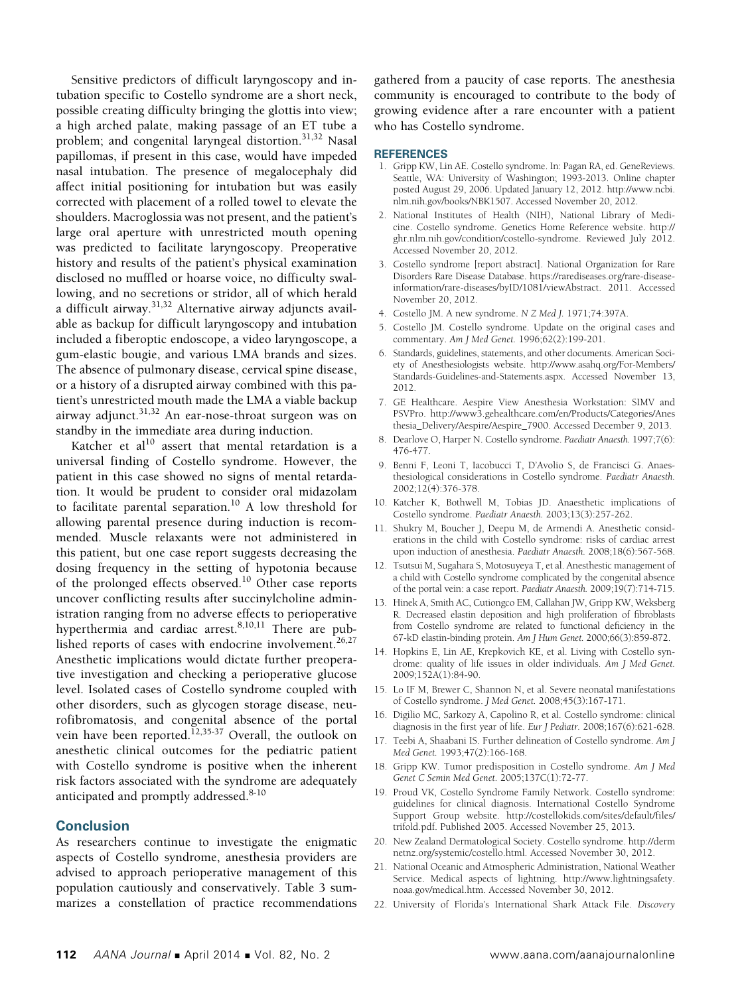Sensitive predictors of difficult laryngoscopy and intubation specific to Costello syndrome are a short neck, possible creating difficulty bringing the glottis into view; a high arched palate, making passage of an ET tube a problem; and congenital laryngeal distortion.<sup>31,32</sup> Nasal papillomas, if present in this case, would have impeded nasal intubation. The presence of megalocephaly did affect initial positioning for intubation but was easily corrected with placement of a rolled towel to elevate the shoulders. Macroglossia was not present, and the patient's large oral aperture with unrestricted mouth opening was predicted to facilitate laryngoscopy. Preoperative history and results of the patient's physical examination disclosed no muffled or hoarse voice, no difficulty swallowing, and no secretions or stridor, all of which herald a difficult airway.31,32 Alternative airway adjuncts available as backup for difficult laryngoscopy and intubation included a fiberoptic endoscope, a video laryngoscope, a gum-elastic bougie, and various LMA brands and sizes. The absence of pulmonary disease, cervical spine disease, or a history of a disrupted airway combined with this patient's unrestricted mouth made the LMA a viable backup airway adjunct.31,32 An ear-nose-throat surgeon was on standby in the immediate area during induction.

Katcher et al $10$  assert that mental retardation is a universal finding of Costello syndrome. However, the patient in this case showed no signs of mental retardation. It would be prudent to consider oral midazolam to facilitate parental separation.<sup>10</sup> A low threshold for allowing parental presence during induction is recommended. Muscle relaxants were not administered in this patient, but one case report suggests decreasing the dosing frequency in the setting of hypotonia because of the prolonged effects observed.10 Other case reports uncover conflicting results after succinylcholine administration ranging from no adverse effects to perioperative hyperthermia and cardiac arrest.<sup>8,10,11</sup> There are published reports of cases with endocrine involvement.<sup>26,27</sup> Anesthetic implications would dictate further preoperative investigation and checking a perioperative glucose level. Isolated cases of Costello syndrome coupled with other disorders, such as glycogen storage disease, neurofibromatosis, and congenital absence of the portal vein have been reported.<sup>12,35-37</sup> Overall, the outlook on anesthetic clinical outcomes for the pediatric patient with Costello syndrome is positive when the inherent risk factors associated with the syndrome are adequately anticipated and promptly addressed.<sup>8-10</sup>

## **Conclusion**

As researchers continue to investigate the enigmatic aspects of Costello syndrome, anesthesia providers are advised to approach perioperative management of this population cautiously and conservatively. Table 3 summarizes a constellation of practice recommendations gathered from a paucity of case reports. The anesthesia community is encouraged to contribute to the body of growing evidence after a rare encounter with a patient who has Costello syndrome.

#### **REFERENCES**

- 1. Gripp KW, Lin AE. Costello syndrome. In: Pagan RA, ed. GeneReviews. Seattle, WA: University of Washington; 1993-2013. Online chapter posted August 29, 2006. Updated January 12, 2012. http://www.ncbi. nlm.nih.gov/books/NBK1507. Accessed November 20, 2012.
- 2. National Institutes of Health (NIH), National Library of Medicine. Costello syndrome. Genetics Home Reference website. http:// ghr.nlm.nih.gov/condition/costello-syndrome. Reviewed July 2012. Accessed November 20, 2012.
- 3. Costello syndrome [report abstract]. National Organization for Rare Disorders Rare Disease Database. https://rarediseases.org/rare-diseaseinformation/rare-diseases/byID/1081/viewAbstract. 2011. Accessed November 20, 2012.
- 4. Costello JM. A new syndrome. *N Z Med J.* 1971;74:397A.
- 5. Costello JM. Costello syndrome. Update on the original cases and commentary. *Am J Med Genet.* 1996;62(2):199-201.
- 6. Standards, guidelines, statements, and other documents. American Society of Anesthesiologists website. http://www.asahq.org/For-Members/ Standards-Guidelines-and-Statements.aspx. Accessed November 13, 2012.
- 7. GE Healthcare. Aespire View Anesthesia Workstation: SIMV and PSVPro. http://www3.gehealthcare.com/en/Products/Categories/Anes thesia\_Delivery/Aespire/Aespire\_7900. Accessed December 9, 2013.
- 8. Dearlove O, Harper N. Costello syndrome. *Paediatr Anaesth.* 1997;7(6): 476-477.
- 9. Benni F, Leoni T, Iacobucci T, D'Avolio S, de Francisci G. Anaesthesiological considerations in Costello syndrome. *Paediatr Anaesth.*  2002;12(4):376-378.
- 10. Katcher K, Bothwell M, Tobias JD. Anaesthetic implications of Costello syndrome. *Paediatr Anaesth.* 2003;13(3):257-262.
- 11. Shukry M, Boucher J, Deepu M, de Armendi A. Anesthetic considerations in the child with Costello syndrome: risks of cardiac arrest upon induction of anesthesia. *Paediatr Anaesth.* 2008;18(6):567-568.
- 12. Tsutsui M, Sugahara S, Motosuyeya T, et al. Anesthestic management of a child with Costello syndrome complicated by the congenital absence of the portal vein: a case report. *Paediatr Anaesth.* 2009;19(7):714-715.
- 13. Hinek A, Smith AC, Cutiongco EM, Callahan JW, Gripp KW, Weksberg R. Decreased elastin deposition and high proliferation of fibroblasts from Costello syndrome are related to functional deficiency in the 67-kD elastin-binding protein. *Am J Hum Genet.* 2000;66(3):859-872.
- 14. Hopkins E, Lin AE, Krepkovich KE, et al. Living with Costello syndrome: quality of life issues in older individuals. *Am J Med Genet.* 2009;152A(1):84-90.
- 15. Lo IF M, Brewer C, Shannon N, et al. Severe neonatal manifestations of Costello syndrome. *J Med Genet.* 2008;45(3):167-171.
- 16. Digilio MC, Sarkozy A, Capolino R, et al. Costello syndrome: clinical diagnosis in the first year of life. *Eur J Pediatr.* 2008;167(6):621-628.
- 17. Teebi A, Shaabani IS. Further delineation of Costello syndrome. *Am J Med Genet.* 1993;47(2):166-168.
- 18. Gripp KW. Tumor predisposition in Costello syndrome. *Am J Med Genet C Semin Med Genet.* 2005;137C(1):72-77.
- 19. Proud VK, Costello Syndrome Family Network. Costello syndrome: guidelines for clinical diagnosis. International Costello Syndrome Support Group website. http://costellokids.com/sites/default/files/ trifold.pdf. Published 2005. Accessed November 25, 2013.
- 20. New Zealand Dermatological Society. Costello syndrome. http://derm netnz.org/systemic/costello.html. Accessed November 30, 2012.
- 21. National Oceanic and Atmospheric Administration, National Weather Service. Medical aspects of lightning. http://www.lightningsafety. noaa.gov/medical.htm. Accessed November 30, 2012.
- 22. University of Florida's International Shark Attack File. *Discovery*